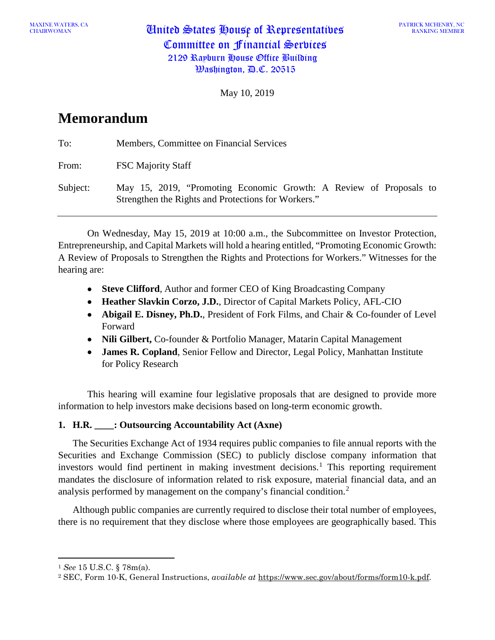May 10, 2019

# **Memorandum**

| To:      | Members, Committee on Financial Services                                                                                  |
|----------|---------------------------------------------------------------------------------------------------------------------------|
| From:    | <b>FSC Majority Staff</b>                                                                                                 |
| Subject: | May 15, 2019, "Promoting Economic Growth: A Review of Proposals to<br>Strengthen the Rights and Protections for Workers." |

On Wednesday, May 15, 2019 at 10:00 a.m., the Subcommittee on Investor Protection, Entrepreneurship, and Capital Markets will hold a hearing entitled, "Promoting Economic Growth: A Review of Proposals to Strengthen the Rights and Protections for Workers." Witnesses for the hearing are:

- **Steve Clifford**, Author and former CEO of King Broadcasting Company
- **Heather Slavkin Corzo, J.D.**, Director of Capital Markets Policy, AFL-CIO
- **Abigail E. Disney, Ph.D.**, President of Fork Films, and Chair & Co-founder of Level Forward
- **Nili Gilbert,** Co-founder & Portfolio Manager, Matarin Capital Management
- **James R. Copland**, Senior Fellow and Director, Legal Policy, Manhattan Institute for Policy Research

This hearing will examine four legislative proposals that are designed to provide more information to help investors make decisions based on long-term economic growth.

## **1. H.R. \_\_\_\_: Outsourcing Accountability Act (Axne)**

The Securities Exchange Act of 1934 requires public companies to file annual reports with the Securities and Exchange Commission (SEC) to publicly disclose company information that investors would find pertinent in making investment decisions. [1](#page-0-0) This reporting requirement mandates the disclosure of information related to risk exposure, material financial data, and an analysis performed by management on the company's financial condition. [2](#page-0-1)

Although public companies are currently required to disclose their total number of employees, there is no requirement that they disclose where those employees are geographically based. This

 $\overline{a}$ 

<span id="page-0-0"></span><sup>1</sup> *See* 15 U.S.C. § 78m(a).

<span id="page-0-1"></span><sup>2</sup> SEC, Form 10-K, General Instructions, *available at* https://www.sec.gov/about/forms/form10-k.pdf.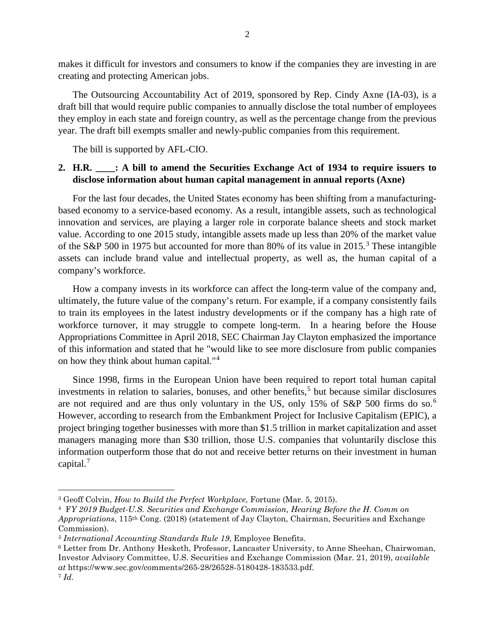makes it difficult for investors and consumers to know if the companies they are investing in are creating and protecting American jobs.

The Outsourcing Accountability Act of 2019, sponsored by Rep. Cindy Axne (IA-03), is a draft bill that would require public companies to annually disclose the total number of employees they employ in each state and foreign country, as well as the percentage change from the previous year. The draft bill exempts smaller and newly-public companies from this requirement.

The bill is supported by AFL-CIO.

#### **2. H.R. \_\_\_\_: A bill to amend the Securities Exchange Act of 1934 to require issuers to disclose information about human capital management in annual reports (Axne)**

For the last four decades, the United States economy has been shifting from a manufacturingbased economy to a service-based economy. As a result, intangible assets, such as technological innovation and services, are playing a larger role in corporate balance sheets and stock market value. According to one 2015 study, intangible assets made up less than 20% of the market value of the S&P 500 in 1975 but accounted for more than 80% of its value in 2015.<sup>[3](#page-1-0)</sup> These intangible assets can include brand value and intellectual property, as well as, the human capital of a company's workforce.

How a company invests in its workforce can affect the long-term value of the company and, ultimately, the future value of the company's return. For example, if a company consistently fails to train its employees in the latest industry developments or if the company has a high rate of workforce turnover, it may struggle to compete long-term. In a hearing before the House Appropriations Committee in April 2018, SEC Chairman Jay Clayton emphasized the importance of this information and stated that he "would like to see more disclosure from public companies on how they think about human capital."[4](#page-1-1)

Since 1998, firms in the European Union have been required to report total human capital investments in relation to salaries, bonuses, and other benefits, [5](#page-1-2) but because similar disclosures are not required and are thus only voluntary in the US, only 15% of S&P 500 firms do so.<sup>[6](#page-1-3)</sup> However, according to research from the Embankment Project for Inclusive Capitalism (EPIC), a project bringing together businesses with more than \$1.5 trillion in market capitalization and asset managers managing more than \$30 trillion, those U.S. companies that voluntarily disclose this information outperform those that do not and receive better returns on their investment in human capital. [7](#page-1-4)

l

<span id="page-1-0"></span><sup>3</sup> Geoff Colvin, *How to Build the Perfect Workplace*, Fortune (Mar. 5, 2015).

<span id="page-1-1"></span><sup>4</sup> F*Y 2019 Budget-U.S. Securities and Exchange Commission, Hearing Before the H. Comm on Appropriations*, 115th Cong. (2018) (statement of Jay Clayton, Chairman, Securities and Exchange Commission).

<span id="page-1-2"></span>*<sup>5</sup> International Accounting Standards Rule 19*, Employee Benefits.

<span id="page-1-4"></span><span id="page-1-3"></span><sup>6</sup> Letter from Dr. Anthony Hesketh, Professor, Lancaster University, to Anne Sheehan, Chairwoman, Investor Advisory Committee, U.S. Securities and Exchange Commission (Mar. 21, 2019), *available at* https://www.sec.gov/comments/265-28/26528-5180428-183533.pdf. <sup>7</sup> *Id*.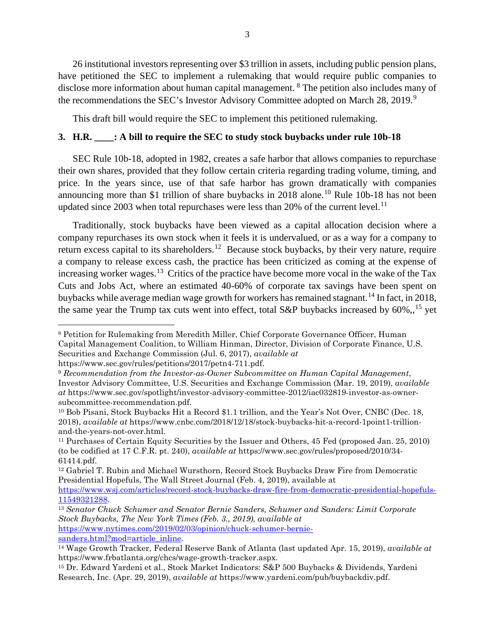26 institutional investors representing over \$3 trillion in assets, including public pension plans, have petitioned the SEC to implement a rulemaking that would require public companies to disclose more information about human capital management. <sup>[8](#page-2-0)</sup> The petition also includes many of the recommendations the SEC's Investor Advisory Committee adopted on March 28, 201[9](#page-2-1).<sup>9</sup>

This draft bill would require the SEC to implement this petitioned rulemaking.

#### **3. H.R. \_\_\_\_: A bill to require the SEC to study stock buybacks under rule 10b-18**

SEC Rule 10b-18, adopted in 1982, creates a safe harbor that allows companies to repurchase their own shares, provided that they follow certain criteria regarding trading volume, timing, and price. In the years since, use of that safe harbor has grown dramatically with companies announcing more than \$1 trillion of share buybacks in 2018 alone.<sup>[10](#page-2-2)</sup> Rule 10b-18 has not been updated since 2003 when total repurchases were less than 20% of the current level.<sup>[11](#page-2-3)</sup>

Traditionally, stock buybacks have been viewed as a capital allocation decision where a company repurchases its own stock when it feels it is undervalued, or as a way for a company to return excess capital to its shareholders.<sup>[12](#page-2-4)</sup> Because stock buybacks, by their very nature, require a company to release excess cash, the practice has been criticized as coming at the expense of increasing worker wages.<sup>[13](#page-2-5)</sup> Critics of the practice have become more vocal in the wake of the Tax Cuts and Jobs Act, where an estimated 40-60% of corporate tax savings have been spent on buybacks while average median wage growth for workers has remained stagnant.<sup>[14](#page-2-6)</sup> In fact, in 2018, the same year the Trump tax cuts went into effect, total S&P buybacks increased by  $60\%$ , <sup>[15](#page-2-7)</sup> yet

l

<span id="page-2-0"></span><sup>8</sup> Petition for Rulemaking from Meredith Miller, Chief Corporate Governance Officer, Human Capital Management Coalition, to William Hinman, Director, Division of Corporate Finance, U.S. Securities and Exchange Commission (Jul. 6, 2017), *available at* 

https://www.sec.gov/rules/petitions/2017/petn4-711.pdf.

<span id="page-2-1"></span><sup>9</sup> *Recommendation from the Investor-as-Owner Subcommittee on Human Capital Management*, Investor Advisory Committee, U.S. Securities and Exchange Commission (Mar. 19, 2019), *available at* https://www.sec.gov/spotlight/investor-advisory-committee-2012/iac032819-investor-as-ownersubcommittee-recommendation.pdf.

<span id="page-2-2"></span><sup>10</sup> Bob Pisani, Stock Buybacks Hit a Record \$1.1 trillion, and the Year's Not Over, CNBC (Dec. 18, 2018), *available at* https://www.cnbc.com/2018/12/18/stock-buybacks-hit-a-record-1point1-trillionand-the-years-not-over.html.

<span id="page-2-3"></span><sup>11</sup> Purchases of Certain Equity Securities by the Issuer and Others, 45 Fed (proposed Jan. 25, 2010) (to be codified at 17 C.F.R. pt. 240), *available at* https://www.sec.gov/rules/proposed/2010/34- 61414.pdf.

<span id="page-2-4"></span><sup>12</sup> Gabriel T. Rubin and Michael Wursthorn, Record Stock Buybacks Draw Fire from Democratic Presidential Hopefuls, The Wall Street Journal (Feb. 4, 2019), available at

[https://www.wsj.com/articles/record-stock-buybacks-draw-fire-from-democratic-presidential-hopefuls-](https://www.wsj.com/articles/record-stock-buybacks-draw-fire-from-democratic-presidential-hopefuls-11549321288)[11549321288.](https://www.wsj.com/articles/record-stock-buybacks-draw-fire-from-democratic-presidential-hopefuls-11549321288)

<span id="page-2-5"></span><sup>13</sup> *Senator Chuck Schumer and Senator Bernie Sanders, Schumer and Sanders: Limit Corporate Stock Buybacks, The New York Times (Feb. 3., 2019), available at*  [https://www.nytimes.com/2019/02/03/opinion/chuck-schumer-bernie-](https://www.nytimes.com/2019/02/03/opinion/chuck-schumer-bernie-sanders.html?mod=article_inline)

<span id="page-2-6"></span>[sanders.html?mod=article\\_inline.](https://www.nytimes.com/2019/02/03/opinion/chuck-schumer-bernie-sanders.html?mod=article_inline) 14 Wage Growth Tracker, Federal Reserve Bank of Atlanta (last updated Apr. 15, 2019), *available at*  https://www.frbatlanta.org/chcs/wage-growth-tracker.aspx.

<span id="page-2-7"></span><sup>15</sup> Dr. Edward Yardeni et al., Stock Market Indicators: S&P 500 Buybacks & Dividends, Yardeni Research, Inc. (Apr. 29, 2019), *available at* [https://www.yardeni.com/pub/buybackdiv.pdf.](https://www.yardeni.com/pub/buybackdiv.pdf)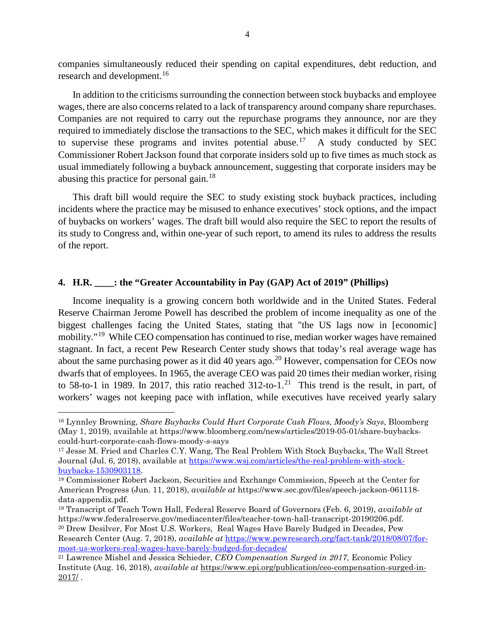companies simultaneously reduced their spending on capital expenditures, debt reduction, and research and development.<sup>[16](#page-3-0)</sup>

In addition to the criticisms surrounding the connection between stock buybacks and employee wages, there are also concerns related to a lack of transparency around company share repurchases. Companies are not required to carry out the repurchase programs they announce, nor are they required to immediately disclose the transactions to the SEC, which makes it difficult for the SEC to supervise these programs and invites potential abuse.<sup>[17](#page-3-1)</sup> A study conducted by SEC Commissioner Robert Jackson found that corporate insiders sold up to five times as much stock as usual immediately following a buyback announcement, suggesting that corporate insiders may be abusing this practice for personal gain.<sup>[18](#page-3-2)</sup>

This draft bill would require the SEC to study existing stock buyback practices, including incidents where the practice may be misused to enhance executives' stock options, and the impact of buybacks on workers' wages. The draft bill would also require the SEC to report the results of its study to Congress and, within one-year of such report, to amend its rules to address the results of the report.

### **4. H.R. \_\_\_\_: the "Greater Accountability in Pay (GAP) Act of 2019" (Phillips)**

Income inequality is a growing concern both worldwide and in the United States. Federal Reserve Chairman Jerome Powell has described the problem of income inequality as one of the biggest challenges facing the United States, stating that "the US lags now in [economic] mobility."<sup>[19](#page-3-3)</sup> While CEO compensation has continued to rise, median worker wages have remained stagnant. In fact, a recent Pew Research Center study shows that today's real average wage has about the same purchasing power as it did 40 years ago.<sup>[20](#page-3-4)</sup> However, compensation for CEOs now dwarfs that of employees. In 1965, the average CEO was paid 20 times their median worker, rising to 58-to-1 in 1989. In 2017, this ratio reached  $312$ -to-1.<sup>[21](#page-3-5)</sup> This trend is the result, in part, of workers' wages not keeping pace with inflation, while executives have received yearly salary

 $\overline{a}$ 

<span id="page-3-0"></span><sup>16</sup> Lynnley Browning, *Share Buybacks Could Hurt Corporate Cash Flows, Moody's Says*, Bloomberg (May 1, 2019), available at https://www.bloomberg.com/news/articles/2019-05-01/share-buybackscould-hurt-corporate-cash-flows-moody-s-says

<span id="page-3-1"></span><sup>17</sup> Jesse M. Fried and Charles C.Y. Wang, The Real Problem With Stock Buybacks, The Wall Street Journal (Jul. 6, 2018), available at [https://www.wsj.com/articles/the-real-problem-with-stock](https://www.wsj.com/articles/the-real-problem-with-stock-buybacks-1530903118)[buybacks-1530903118.](https://www.wsj.com/articles/the-real-problem-with-stock-buybacks-1530903118)

<span id="page-3-2"></span><sup>18</sup> Commissioner Robert Jackson, Securities and Exchange Commission, Speech at the Center for American Progress (Jun. 11, 2018), *available at* https://www.sec.gov/files/speech-jackson-061118 data-appendix.pdf.

<span id="page-3-3"></span><sup>19</sup> Transcript of Teach Town Hall, Federal Reserve Board of Governors (Feb. 6, 2019), *available at* [https://www.federalreserve.gov/mediacenter/files/teacher-town-hall-transcript-20190206.pdf.](https://urldefense.proofpoint.com/v2/url?u=https-3A__www.federalreserve.gov_mediacenter_files_teacher-2Dtown-2Dhall-2Dtranscript-2D20190206.pdf&d=DwMFaQ&c=L93KkjKsAC98uTvC4KvQDdTDRzAeWDDRmG6S3YXllH0&r=3iomPENRfj-ANWyv5BnUad7hYHDj6h5iVfbLpRB3JqE&m=3xgnP6MiD915w-bBvNNnf-nZiHgvfk2H4s5XzHepREc&s=iD-nEbwH8jb1r4Ouk0qhPcqz6hf3bwp_Ci_J9YCE2_Y&e=) 20 Drew Desilver, For Most U.S. Workers, Real Wages Have Barely Budged in Decades, Pew

<span id="page-3-4"></span>Research Center (Aug. 7, 2018), *available at* [https://www.pewresearch.org/fact-tank/2018/08/07/for](https://www.pewresearch.org/fact-tank/2018/08/07/for-most-us-workers-real-wages-have-barely-budged-for-decades/)[most-us-workers-real-wages-have-barely-budged-for-decades/](https://www.pewresearch.org/fact-tank/2018/08/07/for-most-us-workers-real-wages-have-barely-budged-for-decades/)

<span id="page-3-5"></span><sup>21</sup> Lawrence Mishel and Jessica Schieder, *CEO Compensation Surged in 2017*, Economic Policy Institute (Aug. 16, 2018), *available at* https://www.epi.org/publication/ceo-compensation-surged-in- $2017/$ .